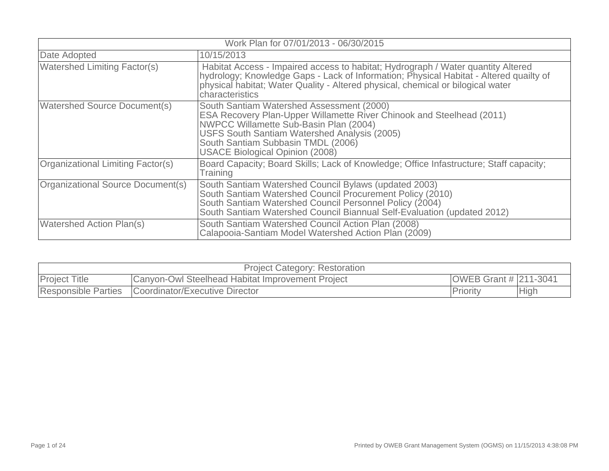| Work Plan for 07/01/2013 - 06/30/2015 |                                                                                                                                                                                                                                                                                              |  |  |
|---------------------------------------|----------------------------------------------------------------------------------------------------------------------------------------------------------------------------------------------------------------------------------------------------------------------------------------------|--|--|
| Date Adopted                          | 10/15/2013                                                                                                                                                                                                                                                                                   |  |  |
| <b>Watershed Limiting Factor(s)</b>   | Habitat Access - Impaired access to habitat; Hydrograph / Water quantity Altered<br>hydrology; Knowledge Gaps - Lack of Information; Physical Habitat - Altered quailty of<br>physical habitat; Water Quality - Altered physical, chemical or bilogical water<br>characteristics             |  |  |
| <b>Watershed Source Document(s)</b>   | South Santiam Watershed Assessment (2000)<br>ESA Recovery Plan-Upper Willamette River Chinook and Steelhead (2011)<br>NWPCC Willamette Sub-Basin Plan (2004)<br>USFS South Santiam Watershed Analysis (2005)<br>South Santiam Subbasin TMDL (2006)<br><b>USACE Biological Opinion (2008)</b> |  |  |
| Organizational Limiting Factor(s)     | Board Capacity; Board Skills; Lack of Knowledge; Office Infastructure; Staff capacity;<br>Training                                                                                                                                                                                           |  |  |
| Organizational Source Document(s)     | South Santiam Watershed Council Bylaws (updated 2003)<br>South Santiam Watershed Council Procurement Policy (2010)<br>South Santiam Watershed Council Personnel Policy (2004)<br>South Santiam Watershed Council Biannual Self-Evaluation (updated 2012)                                     |  |  |
| <b>Watershed Action Plan(s)</b>       | South Santiam Watershed Council Action Plan (2008)<br>Calapooia-Santiam Model Watershed Action Plan (2009)                                                                                                                                                                                   |  |  |

|                            | <b>Project Category: Restoration</b>             |                              |             |
|----------------------------|--------------------------------------------------|------------------------------|-------------|
| <b>Project Title</b>       | Canyon-Owl Steelhead Habitat Improvement Project | <b>OWEB Grant # 211-3041</b> |             |
| <b>Responsible Parties</b> | Coordinator/Executive Director                   | <b>Priority</b>              | <b>High</b> |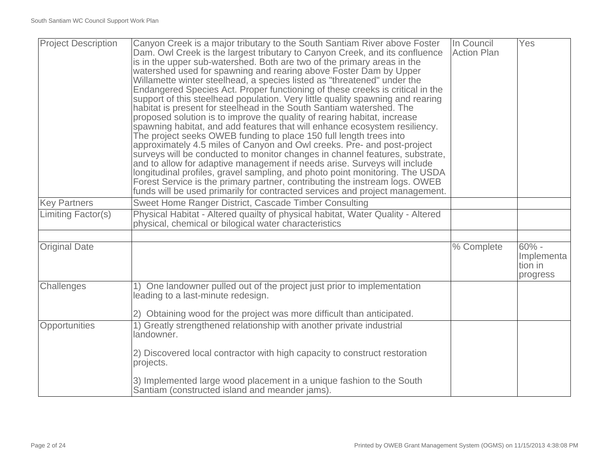| <b>Project Description</b> | Canyon Creek is a major tributary to the South Santiam River above Foster<br>Dam. Owl Creek is the largest tributary to Canyon Creek, and its confluence<br>is in the upper sub-watershed. Both are two of the primary areas in the<br>watershed used for spawning and rearing above Foster Dam by Upper<br>Willamette winter steelhead, a species listed as "threatened" under the<br>Endangered Species Act. Proper functioning of these creeks is critical in the<br>support of this steelhead population. Very little quality spawning and rearing<br>habitat is present for steelhead in the South Santiam watershed. The<br>proposed solution is to improve the quality of rearing habitat, increase<br>spawning habitat, and add features that will enhance ecosystem resiliency.<br>The project seeks OWEB funding to place 150 full length trees into<br>approximately 4.5 miles of Canyon and Owl creeks. Pre- and post-project<br>surveys will be conducted to monitor changes in channel features, substrate,<br>and to allow for adaptive management if needs arise. Surveys will include<br>longitudinal profiles, gravel sampling, and photo point monitoring. The USDA<br>Forest Service is the primary partner, contributing the instream logs. OWEB<br>funds will be used primarily for contracted services and project management. | In Council<br><b>Action Plan</b> | Yes                                          |
|----------------------------|-------------------------------------------------------------------------------------------------------------------------------------------------------------------------------------------------------------------------------------------------------------------------------------------------------------------------------------------------------------------------------------------------------------------------------------------------------------------------------------------------------------------------------------------------------------------------------------------------------------------------------------------------------------------------------------------------------------------------------------------------------------------------------------------------------------------------------------------------------------------------------------------------------------------------------------------------------------------------------------------------------------------------------------------------------------------------------------------------------------------------------------------------------------------------------------------------------------------------------------------------------------------------------------------------------------------------------------------------------|----------------------------------|----------------------------------------------|
| <b>Key Partners</b>        | Sweet Home Ranger District, Cascade Timber Consulting                                                                                                                                                                                                                                                                                                                                                                                                                                                                                                                                                                                                                                                                                                                                                                                                                                                                                                                                                                                                                                                                                                                                                                                                                                                                                                 |                                  |                                              |
| Limiting Factor(s)         | Physical Habitat - Altered quailty of physical habitat, Water Quality - Altered<br>physical, chemical or bilogical water characteristics                                                                                                                                                                                                                                                                                                                                                                                                                                                                                                                                                                                                                                                                                                                                                                                                                                                                                                                                                                                                                                                                                                                                                                                                              |                                  |                                              |
|                            |                                                                                                                                                                                                                                                                                                                                                                                                                                                                                                                                                                                                                                                                                                                                                                                                                                                                                                                                                                                                                                                                                                                                                                                                                                                                                                                                                       |                                  |                                              |
| <b>Original Date</b>       |                                                                                                                                                                                                                                                                                                                                                                                                                                                                                                                                                                                                                                                                                                                                                                                                                                                                                                                                                                                                                                                                                                                                                                                                                                                                                                                                                       | % Complete                       | $60% -$<br>Implementa<br>tion in<br>progress |
| Challenges                 | 1) One landowner pulled out of the project just prior to implementation<br>leading to a last-minute redesign.                                                                                                                                                                                                                                                                                                                                                                                                                                                                                                                                                                                                                                                                                                                                                                                                                                                                                                                                                                                                                                                                                                                                                                                                                                         |                                  |                                              |
|                            | 2) Obtaining wood for the project was more difficult than anticipated.                                                                                                                                                                                                                                                                                                                                                                                                                                                                                                                                                                                                                                                                                                                                                                                                                                                                                                                                                                                                                                                                                                                                                                                                                                                                                |                                  |                                              |
| Opportunities              | 1) Greatly strengthened relationship with another private industrial<br>landowner.                                                                                                                                                                                                                                                                                                                                                                                                                                                                                                                                                                                                                                                                                                                                                                                                                                                                                                                                                                                                                                                                                                                                                                                                                                                                    |                                  |                                              |
|                            | 2) Discovered local contractor with high capacity to construct restoration<br>projects.                                                                                                                                                                                                                                                                                                                                                                                                                                                                                                                                                                                                                                                                                                                                                                                                                                                                                                                                                                                                                                                                                                                                                                                                                                                               |                                  |                                              |
|                            | 3) Implemented large wood placement in a unique fashion to the South<br>Santiam (constructed island and meander jams).                                                                                                                                                                                                                                                                                                                                                                                                                                                                                                                                                                                                                                                                                                                                                                                                                                                                                                                                                                                                                                                                                                                                                                                                                                |                                  |                                              |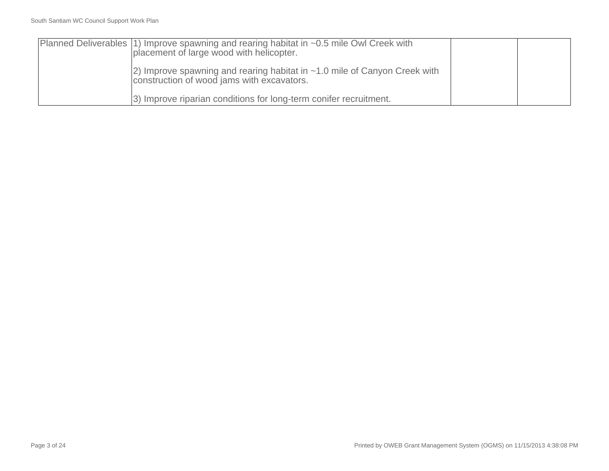| Planned Deliverables (1) Improve spawning and rearing habitat in $\sim$ 0.5 mile Owl Creek with<br>placement of large wood with helicopter. |  |
|---------------------------------------------------------------------------------------------------------------------------------------------|--|
| $ 2)$ Improve spawning and rearing habitat in $~1.0$ mile of Canyon Creek with<br>construction of wood jams with excavators.                |  |
| 3) Improve riparian conditions for long-term conifer recruitment.                                                                           |  |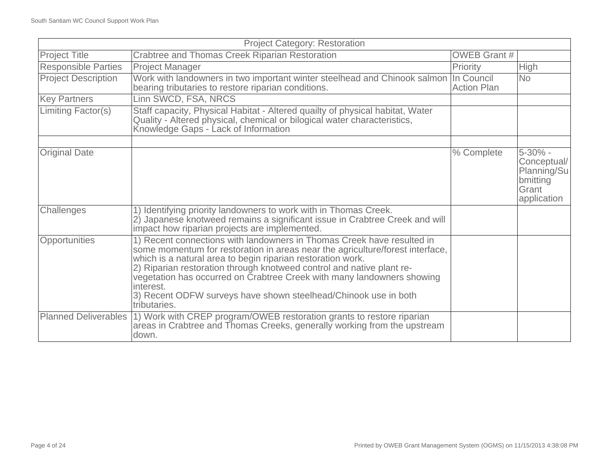| <b>Project Category: Restoration</b> |                                                                                                                                                                                                                                                                                                                                                                                                                                                                           |                     |                                                                           |
|--------------------------------------|---------------------------------------------------------------------------------------------------------------------------------------------------------------------------------------------------------------------------------------------------------------------------------------------------------------------------------------------------------------------------------------------------------------------------------------------------------------------------|---------------------|---------------------------------------------------------------------------|
| <b>Project Title</b>                 | Crabtree and Thomas Creek Riparian Restoration                                                                                                                                                                                                                                                                                                                                                                                                                            | <b>OWEB Grant #</b> |                                                                           |
| <b>Responsible Parties</b>           | <b>Project Manager</b>                                                                                                                                                                                                                                                                                                                                                                                                                                                    | Priority            | <b>High</b>                                                               |
| <b>Project Description</b>           | Work with landowners in two important winter steelhead and Chinook salmon  In Council<br>bearing tributaries to restore riparian conditions.                                                                                                                                                                                                                                                                                                                              | <b>Action Plan</b>  | <b>No</b>                                                                 |
| <b>Key Partners</b>                  | Linn SWCD, FSA, NRCS                                                                                                                                                                                                                                                                                                                                                                                                                                                      |                     |                                                                           |
| Limiting Factor(s)                   | Staff capacity, Physical Habitat - Altered quailty of physical habitat, Water<br>Quality - Altered physical, chemical or bilogical water characteristics,<br>Knowledge Gaps - Lack of Information                                                                                                                                                                                                                                                                         |                     |                                                                           |
|                                      |                                                                                                                                                                                                                                                                                                                                                                                                                                                                           |                     |                                                                           |
| <b>Original Date</b>                 |                                                                                                                                                                                                                                                                                                                                                                                                                                                                           | % Complete          | 5-30% -<br>Conceptual/<br>Planning/Su<br>bmitting<br>Grant<br>application |
| Challenges                           | 1) Identifying priority landowners to work with in Thomas Creek.<br>2) Japanese knotweed remains a significant issue in Crabtree Creek and will<br>impact how riparian projects are implemented.                                                                                                                                                                                                                                                                          |                     |                                                                           |
| Opportunities                        | 1) Recent connections with landowners in Thomas Creek have resulted in<br>some momentum for restoration in areas near the agriculture/forest interface,<br>which is a natural area to begin riparian restoration work.<br>2) Riparian restoration through knotweed control and native plant re-<br>vegetation has occurred on Crabtree Creek with many landowners showing<br>interest.<br>3) Recent ODFW surveys have shown steelhead/Chinook use in both<br>tributaries. |                     |                                                                           |
| <b>Planned Deliverables</b>          | 1) Work with CREP program/OWEB restoration grants to restore riparian<br>areas in Crabtree and Thomas Creeks, generally working from the upstream<br>down.                                                                                                                                                                                                                                                                                                                |                     |                                                                           |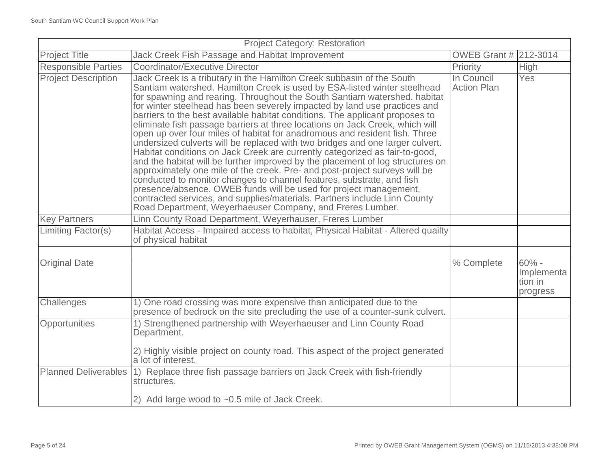| <b>Project Category: Restoration</b> |                                                                                                                                                                                                                                                                                                                                                                                                                                                                                                                                                                                                                                                                                                                                                                                                                                                                                                                                                                                                                                                                                                                                                                                   |                                  |                                              |
|--------------------------------------|-----------------------------------------------------------------------------------------------------------------------------------------------------------------------------------------------------------------------------------------------------------------------------------------------------------------------------------------------------------------------------------------------------------------------------------------------------------------------------------------------------------------------------------------------------------------------------------------------------------------------------------------------------------------------------------------------------------------------------------------------------------------------------------------------------------------------------------------------------------------------------------------------------------------------------------------------------------------------------------------------------------------------------------------------------------------------------------------------------------------------------------------------------------------------------------|----------------------------------|----------------------------------------------|
| <b>Project Title</b>                 | Jack Creek Fish Passage and Habitat Improvement                                                                                                                                                                                                                                                                                                                                                                                                                                                                                                                                                                                                                                                                                                                                                                                                                                                                                                                                                                                                                                                                                                                                   | <b>OWEB Grant # 212-3014</b>     |                                              |
| <b>Responsible Parties</b>           | <b>Coordinator/Executive Director</b>                                                                                                                                                                                                                                                                                                                                                                                                                                                                                                                                                                                                                                                                                                                                                                                                                                                                                                                                                                                                                                                                                                                                             | Priority                         | <b>High</b>                                  |
| <b>Project Description</b>           | Jack Creek is a tributary in the Hamilton Creek subbasin of the South<br>Santiam watershed. Hamilton Creek is used by ESA-listed winter steelhead<br>for spawning and rearing. Throughout the South Santiam watershed, habitat<br>for winter steelhead has been severely impacted by land use practices and<br>barriers to the best available habitat conditions. The applicant proposes to<br>eliminate fish passage barriers at three locations on Jack Creek, which will<br>open up over four miles of habitat for anadromous and resident fish. Three<br>undersized culverts will be replaced with two bridges and one larger culvert.<br>Habitat conditions on Jack Creek are currently categorized as fair-to-good,<br>and the habitat will be further improved by the placement of log structures on<br>approximately one mile of the creek. Pre- and post-project surveys will be<br>conducted to monitor changes to channel features, substrate, and fish<br>presence/absence. OWEB funds will be used for project management,<br>contracted services, and supplies/materials. Partners include Linn County<br>Road Department, Weyerhaeuser Company, and Freres Lumber. | In Council<br><b>Action Plan</b> | Yes                                          |
| <b>Key Partners</b>                  | Linn County Road Department, Weyerhauser, Freres Lumber                                                                                                                                                                                                                                                                                                                                                                                                                                                                                                                                                                                                                                                                                                                                                                                                                                                                                                                                                                                                                                                                                                                           |                                  |                                              |
| <b>Limiting Factor(s)</b>            | Habitat Access - Impaired access to habitat, Physical Habitat - Altered quailty<br>of physical habitat                                                                                                                                                                                                                                                                                                                                                                                                                                                                                                                                                                                                                                                                                                                                                                                                                                                                                                                                                                                                                                                                            |                                  |                                              |
|                                      |                                                                                                                                                                                                                                                                                                                                                                                                                                                                                                                                                                                                                                                                                                                                                                                                                                                                                                                                                                                                                                                                                                                                                                                   |                                  |                                              |
| <b>Original Date</b>                 |                                                                                                                                                                                                                                                                                                                                                                                                                                                                                                                                                                                                                                                                                                                                                                                                                                                                                                                                                                                                                                                                                                                                                                                   | % Complete                       | $60% -$<br>Implementa<br>tion in<br>progress |
| Challenges                           | 1) One road crossing was more expensive than anticipated due to the<br>presence of bedrock on the site precluding the use of a counter-sunk culvert.                                                                                                                                                                                                                                                                                                                                                                                                                                                                                                                                                                                                                                                                                                                                                                                                                                                                                                                                                                                                                              |                                  |                                              |
| Opportunities                        | 1) Strengthened partnership with Weyerhaeuser and Linn County Road<br>Department.<br>2) Highly visible project on county road. This aspect of the project generated<br>a lot of interest.                                                                                                                                                                                                                                                                                                                                                                                                                                                                                                                                                                                                                                                                                                                                                                                                                                                                                                                                                                                         |                                  |                                              |
| <b>Planned Deliverables</b>          | 1) Replace three fish passage barriers on Jack Creek with fish-friendly<br>structures.                                                                                                                                                                                                                                                                                                                                                                                                                                                                                                                                                                                                                                                                                                                                                                                                                                                                                                                                                                                                                                                                                            |                                  |                                              |
|                                      | 2) Add large wood to $\sim 0.5$ mile of Jack Creek.                                                                                                                                                                                                                                                                                                                                                                                                                                                                                                                                                                                                                                                                                                                                                                                                                                                                                                                                                                                                                                                                                                                               |                                  |                                              |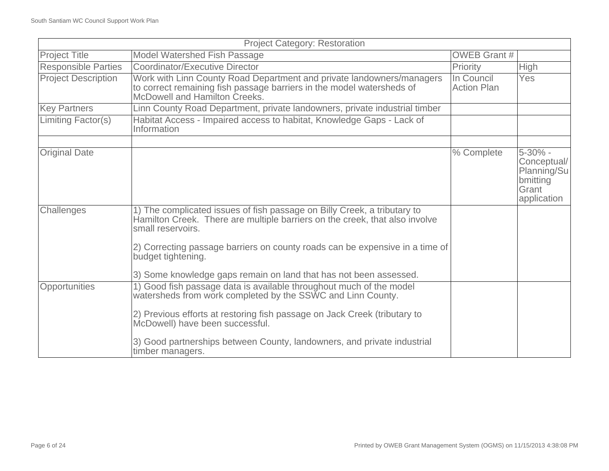| <b>Project Category: Restoration</b> |                                                                                                                                                                                                                                                                                                                                                         |                                  |                                                                           |
|--------------------------------------|---------------------------------------------------------------------------------------------------------------------------------------------------------------------------------------------------------------------------------------------------------------------------------------------------------------------------------------------------------|----------------------------------|---------------------------------------------------------------------------|
| <b>Project Title</b>                 | <b>Model Watershed Fish Passage</b>                                                                                                                                                                                                                                                                                                                     | <b>OWEB Grant #</b>              |                                                                           |
| <b>Responsible Parties</b>           | Coordinator/Executive Director                                                                                                                                                                                                                                                                                                                          | Priority                         | <b>High</b>                                                               |
| <b>Project Description</b>           | Work with Linn County Road Department and private landowners/managers<br>to correct remaining fish passage barriers in the model watersheds of<br>McDowell and Hamilton Creeks.                                                                                                                                                                         | In Council<br><b>Action Plan</b> | <b>Yes</b>                                                                |
| <b>Key Partners</b>                  | Linn County Road Department, private landowners, private industrial timber                                                                                                                                                                                                                                                                              |                                  |                                                                           |
| Limiting Factor(s)                   | Habitat Access - Impaired access to habitat, Knowledge Gaps - Lack of<br>Information                                                                                                                                                                                                                                                                    |                                  |                                                                           |
| <b>Original Date</b>                 |                                                                                                                                                                                                                                                                                                                                                         | % Complete                       | 5-30% -<br>Conceptual/<br>Planning/Su<br>bmitting<br>Grant<br>application |
| Challenges                           | 1) The complicated issues of fish passage on Billy Creek, a tributary to<br>Hamilton Creek. There are multiple barriers on the creek, that also involve<br>small reservoirs.<br>2) Correcting passage barriers on county roads can be expensive in a time of<br>budget tightening.<br>3) Some knowledge gaps remain on land that has not been assessed. |                                  |                                                                           |
| Opportunities                        | 1) Good fish passage data is available throughout much of the model<br>watersheds from work completed by the SSWC and Linn County.<br>2) Previous efforts at restoring fish passage on Jack Creek (tributary to<br>McDowell) have been successful.<br>3) Good partnerships between County, landowners, and private industrial<br>timber managers.       |                                  |                                                                           |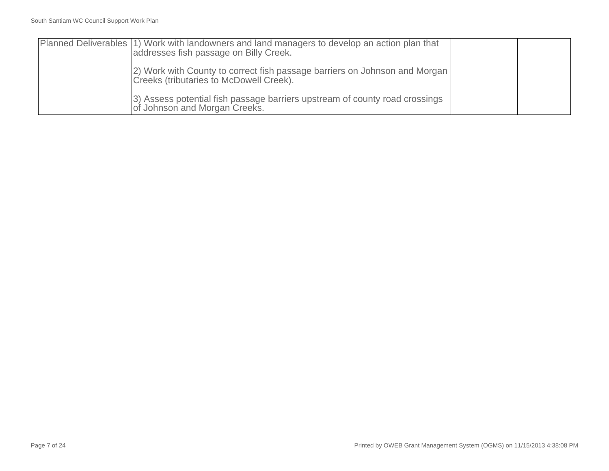| Planned Deliverables (1) Work with landowners and land managers to develop an action plan that<br>addresses fish passage on Billy Creek. |  |
|------------------------------------------------------------------------------------------------------------------------------------------|--|
| (2) Work with County to correct fish passage barriers on Johnson and Morgan<br>Creeks (tributaries to McDowell Creek).                   |  |
| 3) Assess potential fish passage barriers upstream of county road crossings<br>of Johnson and Morgan Creeks.                             |  |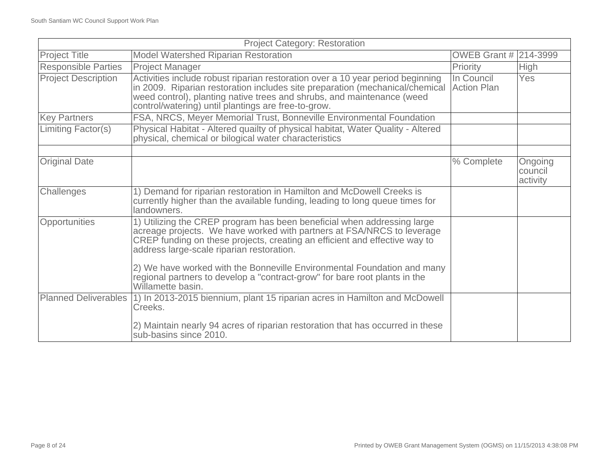| <b>Project Category: Restoration</b> |                                                                                                                                                                                                                                                                                                                                                                                                                                                            |                              |                                |
|--------------------------------------|------------------------------------------------------------------------------------------------------------------------------------------------------------------------------------------------------------------------------------------------------------------------------------------------------------------------------------------------------------------------------------------------------------------------------------------------------------|------------------------------|--------------------------------|
| <b>Project Title</b>                 | <b>Model Watershed Riparian Restoration</b>                                                                                                                                                                                                                                                                                                                                                                                                                | <b>OWEB Grant # 214-3999</b> |                                |
| <b>Responsible Parties</b>           | <b>Project Manager</b>                                                                                                                                                                                                                                                                                                                                                                                                                                     | Priority                     | High                           |
| <b>Project Description</b>           | Activities include robust riparian restoration over a 10 year period beginning<br>in 2009. Riparian restoration includes site preparation (mechanical/chemical<br>weed control), planting native trees and shrubs, and maintenance (weed<br>control/watering) until plantings are free-to-grow.                                                                                                                                                            | In Council<br>Action Plan    | <b>Yes</b>                     |
| <b>Key Partners</b>                  | FSA, NRCS, Meyer Memorial Trust, Bonneville Environmental Foundation                                                                                                                                                                                                                                                                                                                                                                                       |                              |                                |
| Limiting Factor(s)                   | Physical Habitat - Altered quailty of physical habitat, Water Quality - Altered<br>physical, chemical or bilogical water characteristics                                                                                                                                                                                                                                                                                                                   |                              |                                |
|                                      |                                                                                                                                                                                                                                                                                                                                                                                                                                                            |                              |                                |
| <b>Original Date</b>                 |                                                                                                                                                                                                                                                                                                                                                                                                                                                            | % Complete                   | Ongoing<br>council<br>activity |
| Challenges                           | 1) Demand for riparian restoration in Hamilton and McDowell Creeks is<br>currently higher than the available funding, leading to long queue times for<br>landowners.                                                                                                                                                                                                                                                                                       |                              |                                |
| Opportunities                        | 1) Utilizing the CREP program has been beneficial when addressing large<br>acreage projects. We have worked with partners at FSA/NRCS to leverage<br>CREP funding on these projects, creating an efficient and effective way to<br>address large-scale riparian restoration.<br>2) We have worked with the Bonneville Environmental Foundation and many<br>regional partners to develop a "contract-grow" for bare root plants in the<br>Willamette basin. |                              |                                |
|                                      | Planned Deliverables (1) In 2013-2015 biennium, plant 15 riparian acres in Hamilton and McDowell<br>Creeks.<br>2) Maintain nearly 94 acres of riparian restoration that has occurred in these<br>sub-basins since 2010.                                                                                                                                                                                                                                    |                              |                                |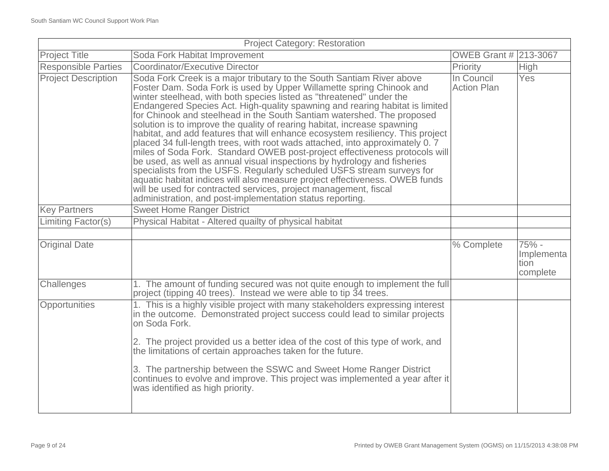| <b>Project Category: Restoration</b> |                                                                                                                                                                                                                                                                                                                                                                                                                                                                                                                                                                                                                                                                                                                                                                                                                                                                                                                                                                                                                                                                                    |                                  |                                         |
|--------------------------------------|------------------------------------------------------------------------------------------------------------------------------------------------------------------------------------------------------------------------------------------------------------------------------------------------------------------------------------------------------------------------------------------------------------------------------------------------------------------------------------------------------------------------------------------------------------------------------------------------------------------------------------------------------------------------------------------------------------------------------------------------------------------------------------------------------------------------------------------------------------------------------------------------------------------------------------------------------------------------------------------------------------------------------------------------------------------------------------|----------------------------------|-----------------------------------------|
| <b>Project Title</b>                 | Soda Fork Habitat Improvement                                                                                                                                                                                                                                                                                                                                                                                                                                                                                                                                                                                                                                                                                                                                                                                                                                                                                                                                                                                                                                                      | OWEB Grant # 213-3067            |                                         |
| <b>Responsible Parties</b>           | <b>Coordinator/Executive Director</b>                                                                                                                                                                                                                                                                                                                                                                                                                                                                                                                                                                                                                                                                                                                                                                                                                                                                                                                                                                                                                                              | Priority                         | High                                    |
| <b>Project Description</b>           | Soda Fork Creek is a major tributary to the South Santiam River above<br>Foster Dam. Soda Fork is used by Upper Willamette spring Chinook and<br>winter steelhead, with both species listed as "threatened" under the<br>Endangered Species Act. High-quality spawning and rearing habitat is limited<br>for Chinook and steelhead in the South Santiam watershed. The proposed<br>solution is to improve the quality of rearing habitat, increase spawning<br>habitat, and add features that will enhance ecosystem resiliency. This project<br>placed 34 full-length trees, with root wads attached, into approximately 0.7<br>miles of Soda Fork. Standard OWEB post-project effectiveness protocols will<br>be used, as well as annual visual inspections by hydrology and fisheries<br>specialists from the USFS. Regularly scheduled USFS stream surveys for<br>aquatic habitat indices will also measure project effectiveness. OWEB funds<br>will be used for contracted services, project management, fiscal<br>administration, and post-implementation status reporting. | In Council<br><b>Action Plan</b> | Yes                                     |
| <b>Key Partners</b>                  | <b>Sweet Home Ranger District</b>                                                                                                                                                                                                                                                                                                                                                                                                                                                                                                                                                                                                                                                                                                                                                                                                                                                                                                                                                                                                                                                  |                                  |                                         |
| <b>Limiting Factor(s)</b>            | Physical Habitat - Altered quailty of physical habitat                                                                                                                                                                                                                                                                                                                                                                                                                                                                                                                                                                                                                                                                                                                                                                                                                                                                                                                                                                                                                             |                                  |                                         |
|                                      |                                                                                                                                                                                                                                                                                                                                                                                                                                                                                                                                                                                                                                                                                                                                                                                                                                                                                                                                                                                                                                                                                    |                                  |                                         |
| <b>Original Date</b>                 |                                                                                                                                                                                                                                                                                                                                                                                                                                                                                                                                                                                                                                                                                                                                                                                                                                                                                                                                                                                                                                                                                    | % Complete                       | 75% -<br>Implementa<br>tion<br>complete |
| Challenges                           | 1. The amount of funding secured was not quite enough to implement the full<br>project (tipping 40 trees). Instead we were able to tip 34 trees.                                                                                                                                                                                                                                                                                                                                                                                                                                                                                                                                                                                                                                                                                                                                                                                                                                                                                                                                   |                                  |                                         |
| Opportunities                        | 1. This is a highly visible project with many stakeholders expressing interest<br>in the outcome. Demonstrated project success could lead to similar projects<br>on Soda Fork.<br>2. The project provided us a better idea of the cost of this type of work, and<br>the limitations of certain approaches taken for the future.<br>3. The partnership between the SSWC and Sweet Home Ranger District<br>continues to evolve and improve. This project was implemented a year after it<br>was identified as high priority.                                                                                                                                                                                                                                                                                                                                                                                                                                                                                                                                                         |                                  |                                         |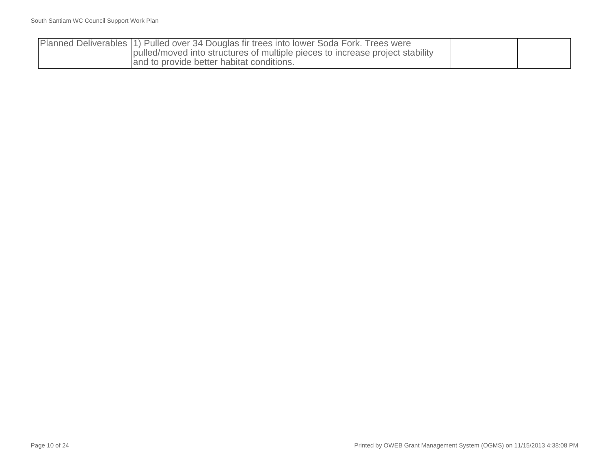| Planned Deliverables (1) Pulled over 34 Douglas fir trees into lower Soda Fork. Trees were |  |
|--------------------------------------------------------------------------------------------|--|
| pulled/moved into structures of multiple pieces to increase project stability              |  |
| and to provide better habitat conditions.                                                  |  |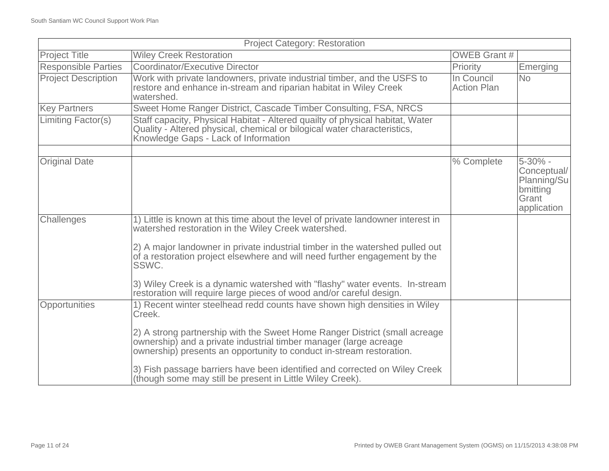|                            | <b>Project Category: Restoration</b>                                                                                                                                                                                    |                                  |                                                                |
|----------------------------|-------------------------------------------------------------------------------------------------------------------------------------------------------------------------------------------------------------------------|----------------------------------|----------------------------------------------------------------|
| <b>Project Title</b>       | <b>Wiley Creek Restoration</b>                                                                                                                                                                                          | <b>OWEB Grant #</b>              |                                                                |
| <b>Responsible Parties</b> | <b>Coordinator/Executive Director</b>                                                                                                                                                                                   | Priority                         | Emerging                                                       |
| <b>Project Description</b> | Work with private landowners, private industrial timber, and the USFS to<br>restore and enhance in-stream and riparian habitat in Wiley Creek<br>watershed.                                                             | In Council<br><b>Action Plan</b> | <b>No</b>                                                      |
| <b>Key Partners</b>        | Sweet Home Ranger District, Cascade Timber Consulting, FSA, NRCS                                                                                                                                                        |                                  |                                                                |
| <b>Limiting Factor(s)</b>  | Staff capacity, Physical Habitat - Altered quailty of physical habitat, Water<br>Quality - Altered physical, chemical or bilogical water characteristics,<br>Knowledge Gaps - Lack of Information                       |                                  |                                                                |
| <b>Original Date</b>       |                                                                                                                                                                                                                         | % Complete                       | 5-30% -                                                        |
|                            |                                                                                                                                                                                                                         |                                  | Conceptual/<br>Planning/Su<br>bmitting<br>Grant<br>application |
| Challenges                 | 1) Little is known at this time about the level of private landowner interest in<br>watershed restoration in the Wiley Creek watershed.                                                                                 |                                  |                                                                |
|                            | 2) A major landowner in private industrial timber in the watershed pulled out<br>of a restoration project elsewhere and will need further engagement by the<br>SSWC.                                                    |                                  |                                                                |
|                            | 3) Wiley Creek is a dynamic watershed with "flashy" water events. In-stream<br>restoration will require large pieces of wood and/or careful design.                                                                     |                                  |                                                                |
| Opportunities              | 1) Recent winter steelhead redd counts have shown high densities in Wiley<br>Creek.                                                                                                                                     |                                  |                                                                |
|                            | 2) A strong partnership with the Sweet Home Ranger District (small acreage<br>ownership) and a private industrial timber manager (large acreage<br>ownership) presents an opportunity to conduct in-stream restoration. |                                  |                                                                |
|                            | 3) Fish passage barriers have been identified and corrected on Wiley Creek<br>(though some may still be present in Little Wiley Creek).                                                                                 |                                  |                                                                |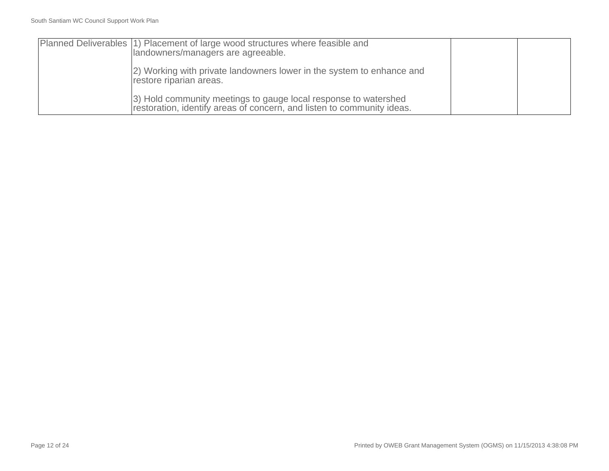| Planned Deliverables (1) Placement of large wood structures where feasible and<br>landowners/managers are agreeable.                       |  |
|--------------------------------------------------------------------------------------------------------------------------------------------|--|
| [2] Working with private landowners lower in the system to enhance and<br>restore riparian areas.                                          |  |
| [3) Hold community meetings to gauge local response to watershed<br>restoration, identify areas of concern, and listen to community ideas. |  |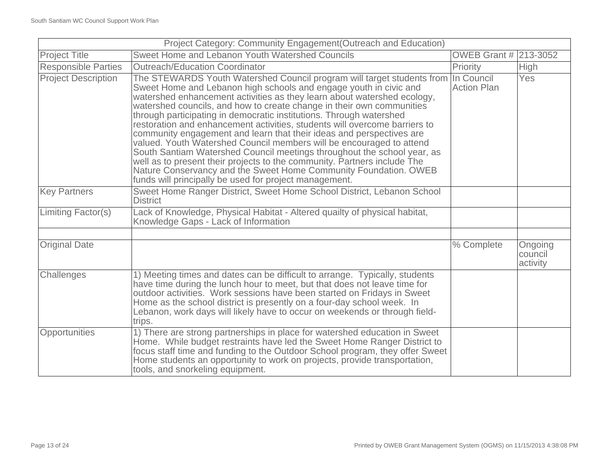| Project Category: Community Engagement (Outreach and Education) |                                                                                                                                                                                                                                                                                                                                                                                                                                                                                                                                                                                                                                                                                                                                                                                                                                                                                           |                                  |                                |
|-----------------------------------------------------------------|-------------------------------------------------------------------------------------------------------------------------------------------------------------------------------------------------------------------------------------------------------------------------------------------------------------------------------------------------------------------------------------------------------------------------------------------------------------------------------------------------------------------------------------------------------------------------------------------------------------------------------------------------------------------------------------------------------------------------------------------------------------------------------------------------------------------------------------------------------------------------------------------|----------------------------------|--------------------------------|
| <b>Project Title</b>                                            | Sweet Home and Lebanon Youth Watershed Councils                                                                                                                                                                                                                                                                                                                                                                                                                                                                                                                                                                                                                                                                                                                                                                                                                                           | <b>OWEB Grant # 213-3052</b>     |                                |
| <b>Responsible Parties</b>                                      | <b>Outreach/Education Coordinator</b>                                                                                                                                                                                                                                                                                                                                                                                                                                                                                                                                                                                                                                                                                                                                                                                                                                                     | Priority                         | <b>High</b>                    |
| <b>Project Description</b>                                      | The STEWARDS Youth Watershed Council program will target students from<br>Sweet Home and Lebanon high schools and engage youth in civic and<br>watershed enhancement activities as they learn about watershed ecology,<br>watershed councils, and how to create change in their own communities<br>through participating in democratic institutions. Through watershed<br>restoration and enhancement activities, students will overcome barriers to<br>community engagement and learn that their ideas and perspectives are<br>valued. Youth Watershed Council members will be encouraged to attend<br>South Santiam Watershed Council meetings throughout the school year, as<br>well as to present their projects to the community. Partners include The<br>Nature Conservancy and the Sweet Home Community Foundation. OWEB<br>funds will principally be used for project management. | In Council<br><b>Action Plan</b> | Yes                            |
| <b>Key Partners</b>                                             | Sweet Home Ranger District, Sweet Home School District, Lebanon School<br><b>District</b>                                                                                                                                                                                                                                                                                                                                                                                                                                                                                                                                                                                                                                                                                                                                                                                                 |                                  |                                |
| Limiting Factor(s)                                              | Lack of Knowledge, Physical Habitat - Altered quailty of physical habitat,<br>Knowledge Gaps - Lack of Information                                                                                                                                                                                                                                                                                                                                                                                                                                                                                                                                                                                                                                                                                                                                                                        |                                  |                                |
| <b>Original Date</b>                                            |                                                                                                                                                                                                                                                                                                                                                                                                                                                                                                                                                                                                                                                                                                                                                                                                                                                                                           | % Complete                       | Ongoing<br>council<br>activity |
| Challenges                                                      | 1) Meeting times and dates can be difficult to arrange. Typically, students<br>have time during the lunch hour to meet, but that does not leave time for<br>outdoor activities. Work sessions have been started on Fridays in Sweet<br>Home as the school district is presently on a four-day school week. In<br>Lebanon, work days will likely have to occur on weekends or through field-<br>trips.                                                                                                                                                                                                                                                                                                                                                                                                                                                                                     |                                  |                                |
| Opportunities                                                   | 1) There are strong partnerships in place for watershed education in Sweet<br>Home. While budget restraints have led the Sweet Home Ranger District to<br>focus staff time and funding to the Outdoor School program, they offer Sweet<br>Home students an opportunity to work on projects, provide transportation,<br>tools, and snorkeling equipment.                                                                                                                                                                                                                                                                                                                                                                                                                                                                                                                                   |                                  |                                |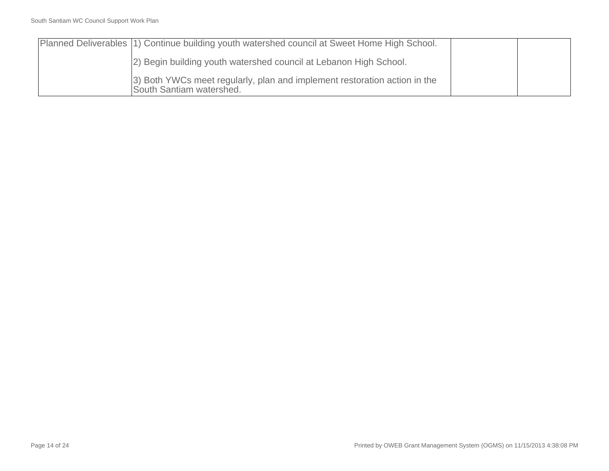| Planned Deliverables (1) Continue building youth watershed council at Sweet Home High School.          |  |
|--------------------------------------------------------------------------------------------------------|--|
| [2] Begin building youth watershed council at Lebanon High School.                                     |  |
| [3) Both YWCs meet regularly, plan and implement restoration action in the<br>South Santiam watershed. |  |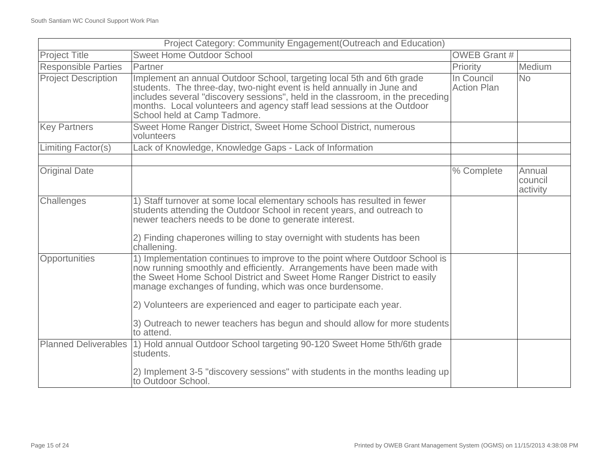| Project Category: Community Engagement(Outreach and Education) |                                                                                                                                                                                                                                                                                                                                                                                                                                                |                                  |                               |
|----------------------------------------------------------------|------------------------------------------------------------------------------------------------------------------------------------------------------------------------------------------------------------------------------------------------------------------------------------------------------------------------------------------------------------------------------------------------------------------------------------------------|----------------------------------|-------------------------------|
| <b>Project Title</b>                                           | <b>Sweet Home Outdoor School</b>                                                                                                                                                                                                                                                                                                                                                                                                               | <b>OWEB Grant #</b>              |                               |
| <b>Responsible Parties</b>                                     | Partner                                                                                                                                                                                                                                                                                                                                                                                                                                        | Priority                         | Medium                        |
| <b>Project Description</b>                                     | Implement an annual Outdoor School, targeting local 5th and 6th grade<br>students. The three-day, two-night event is held annually in June and<br>includes several "discovery sessions", held in the classroom, in the preceding<br>months. Local volunteers and agency staff lead sessions at the Outdoor<br>School held at Camp Tadmore.                                                                                                     | In Council<br><b>Action Plan</b> | <b>No</b>                     |
| <b>Key Partners</b>                                            | Sweet Home Ranger District, Sweet Home School District, numerous<br>volunteers                                                                                                                                                                                                                                                                                                                                                                 |                                  |                               |
| Limiting Factor(s)                                             | Lack of Knowledge, Knowledge Gaps - Lack of Information                                                                                                                                                                                                                                                                                                                                                                                        |                                  |                               |
|                                                                |                                                                                                                                                                                                                                                                                                                                                                                                                                                |                                  |                               |
| <b>Original Date</b>                                           |                                                                                                                                                                                                                                                                                                                                                                                                                                                | % Complete                       | Annual<br>council<br>activity |
| Challenges                                                     | 1) Staff turnover at some local elementary schools has resulted in fewer<br>students attending the Outdoor School in recent years, and outreach to<br>newer teachers needs to be done to generate interest.<br>2) Finding chaperones willing to stay overnight with students has been                                                                                                                                                          |                                  |                               |
|                                                                | challening.                                                                                                                                                                                                                                                                                                                                                                                                                                    |                                  |                               |
| <b>Opportunities</b>                                           | 1) Implementation continues to improve to the point where Outdoor School is<br>now running smoothly and efficiently. Arrangements have been made with<br>the Sweet Home School District and Sweet Home Ranger District to easily<br>manage exchanges of funding, which was once burdensome.<br>2) Volunteers are experienced and eager to participate each year.<br>3) Outreach to newer teachers has begun and should allow for more students |                                  |                               |
|                                                                | to attend.                                                                                                                                                                                                                                                                                                                                                                                                                                     |                                  |                               |
| <b>Planned Deliverables</b>                                    | 1) Hold annual Outdoor School targeting 90-120 Sweet Home 5th/6th grade<br>students.                                                                                                                                                                                                                                                                                                                                                           |                                  |                               |
|                                                                | 2) Implement 3-5 "discovery sessions" with students in the months leading up<br>to Outdoor School.                                                                                                                                                                                                                                                                                                                                             |                                  |                               |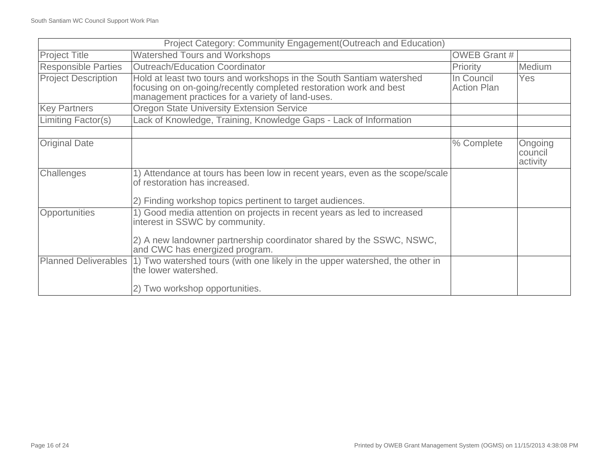| Project Category: Community Engagement (Outreach and Education) |                                                                                                                                                                                               |                                  |                                |
|-----------------------------------------------------------------|-----------------------------------------------------------------------------------------------------------------------------------------------------------------------------------------------|----------------------------------|--------------------------------|
| <b>Project Title</b>                                            | Watershed Tours and Workshops                                                                                                                                                                 | <b>OWEB Grant #</b>              |                                |
| <b>Responsible Parties</b>                                      | <b>Outreach/Education Coordinator</b>                                                                                                                                                         | Priority                         | <b>Medium</b>                  |
| <b>Project Description</b>                                      | Hold at least two tours and workshops in the South Santiam watershed<br>focusing on on-going/recently completed restoration work and best<br>management practices for a variety of land-uses. | In Council<br><b>Action Plan</b> | Yes                            |
| <b>Key Partners</b>                                             | <b>Oregon State University Extension Service</b>                                                                                                                                              |                                  |                                |
| Limiting Factor(s)                                              | Lack of Knowledge, Training, Knowledge Gaps - Lack of Information                                                                                                                             |                                  |                                |
|                                                                 |                                                                                                                                                                                               |                                  |                                |
| <b>Original Date</b>                                            |                                                                                                                                                                                               | % Complete                       | Ongoing<br>council<br>activity |
| Challenges                                                      | 1) Attendance at tours has been low in recent years, even as the scope/scale<br>of restoration has increased.                                                                                 |                                  |                                |
|                                                                 | 2) Finding workshop topics pertinent to target audiences.                                                                                                                                     |                                  |                                |
| Opportunities                                                   | 1) Good media attention on projects in recent years as led to increased<br>interest in SSWC by community.                                                                                     |                                  |                                |
|                                                                 | 2) A new landowner partnership coordinator shared by the SSWC, NSWC,<br>and CWC has energized program.                                                                                        |                                  |                                |
| <b>Planned Deliverables</b>                                     | 1) Two watershed tours (with one likely in the upper watershed, the other in<br>the lower watershed.                                                                                          |                                  |                                |
|                                                                 | 2) Two workshop opportunities.                                                                                                                                                                |                                  |                                |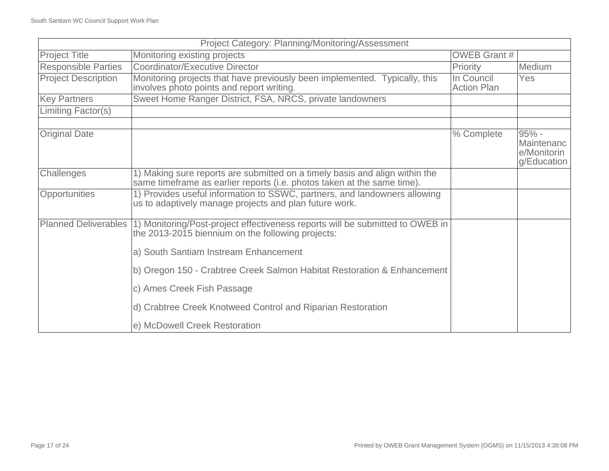| Project Category: Planning/Monitoring/Assessment |                                                                                                                                                        |                                  |                                                     |
|--------------------------------------------------|--------------------------------------------------------------------------------------------------------------------------------------------------------|----------------------------------|-----------------------------------------------------|
| <b>Project Title</b>                             | Monitoring existing projects                                                                                                                           | <b>OWEB Grant #</b>              |                                                     |
| <b>Responsible Parties</b>                       | <b>Coordinator/Executive Director</b>                                                                                                                  | Priority                         | Medium                                              |
| <b>Project Description</b>                       | Monitoring projects that have previously been implemented. Typically, this<br>involves photo points and report writing.                                | In Council<br><b>Action Plan</b> | Yes                                                 |
| <b>Key Partners</b>                              | Sweet Home Ranger District, FSA, NRCS, private landowners                                                                                              |                                  |                                                     |
| Limiting Factor(s)                               |                                                                                                                                                        |                                  |                                                     |
|                                                  |                                                                                                                                                        |                                  |                                                     |
| <b>Original Date</b>                             |                                                                                                                                                        | % Complete                       | $95% -$<br>Maintenanc<br>e/Monitorin<br>g/Education |
| Challenges                                       | 1) Making sure reports are submitted on a timely basis and align within the<br>same timeframe as earlier reports (i.e. photos taken at the same time). |                                  |                                                     |
| Opportunities                                    | 1) Provides useful information to SSWC, partners, and landowners allowing<br>us to adaptively manage projects and plan future work.                    |                                  |                                                     |
| <b>Planned Deliverables</b>                      | 1) Monitoring/Post-project effectiveness reports will be submitted to OWEB in<br>the 2013-2015 biennium on the following projects:                     |                                  |                                                     |
|                                                  | a) South Santiam Instream Enhancement                                                                                                                  |                                  |                                                     |
|                                                  | b) Oregon 150 - Crabtree Creek Salmon Habitat Restoration & Enhancement                                                                                |                                  |                                                     |
|                                                  | c) Ames Creek Fish Passage                                                                                                                             |                                  |                                                     |
|                                                  | d) Crabtree Creek Knotweed Control and Riparian Restoration                                                                                            |                                  |                                                     |
|                                                  | e) McDowell Creek Restoration                                                                                                                          |                                  |                                                     |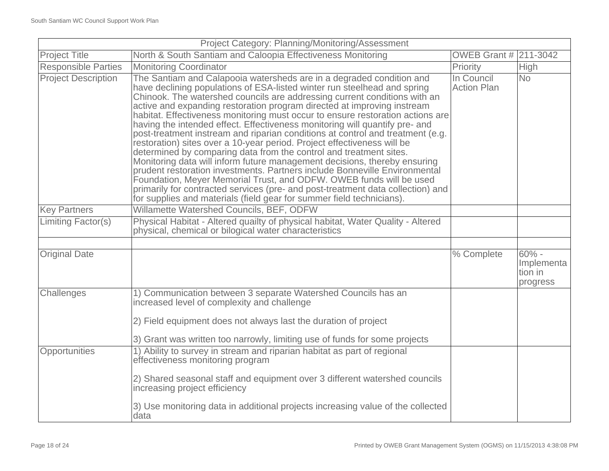| Project Category: Planning/Monitoring/Assessment |                                                                                                                                                                                                                                                                                                                                                                                                                                                                                                                                                                                                                                                                                                                                                                                                                                                                                                                                                                                                                                                                                                            |                                  |                                              |
|--------------------------------------------------|------------------------------------------------------------------------------------------------------------------------------------------------------------------------------------------------------------------------------------------------------------------------------------------------------------------------------------------------------------------------------------------------------------------------------------------------------------------------------------------------------------------------------------------------------------------------------------------------------------------------------------------------------------------------------------------------------------------------------------------------------------------------------------------------------------------------------------------------------------------------------------------------------------------------------------------------------------------------------------------------------------------------------------------------------------------------------------------------------------|----------------------------------|----------------------------------------------|
| <b>Project Title</b>                             | North & South Santiam and Caloopia Effectiveness Monitoring                                                                                                                                                                                                                                                                                                                                                                                                                                                                                                                                                                                                                                                                                                                                                                                                                                                                                                                                                                                                                                                | OWEB Grant # 211-3042            |                                              |
| <b>Responsible Parties</b>                       | <b>Monitoring Coordinator</b>                                                                                                                                                                                                                                                                                                                                                                                                                                                                                                                                                                                                                                                                                                                                                                                                                                                                                                                                                                                                                                                                              | Priority                         | <b>High</b>                                  |
| <b>Project Description</b>                       | The Santiam and Calapooia watersheds are in a degraded condition and<br>have declining populations of ESA-listed winter run steelhead and spring<br>Chinook. The watershed councils are addressing current conditions with an<br>active and expanding restoration program directed at improving instream<br>habitat. Effectiveness monitoring must occur to ensure restoration actions are<br>having the intended effect. Effectiveness monitoring will quantify pre- and<br>post-treatment instream and riparian conditions at control and treatment (e.g.<br>restoration) sites over a 10-year period. Project effectiveness will be<br>determined by comparing data from the control and treatment sites.<br>Monitoring data will inform future management decisions, thereby ensuring<br>prudent restoration investments. Partners include Bonneville Environmental<br>Foundation, Meyer Memorial Trust, and ODFW. OWEB funds will be used<br>primarily for contracted services (pre- and post-treatment data collection) and<br>for supplies and materials (field gear for summer field technicians). | In Council<br><b>Action Plan</b> | <b>No</b>                                    |
| <b>Key Partners</b>                              | Willamette Watershed Councils, BEF, ODFW                                                                                                                                                                                                                                                                                                                                                                                                                                                                                                                                                                                                                                                                                                                                                                                                                                                                                                                                                                                                                                                                   |                                  |                                              |
| Limiting Factor(s)                               | Physical Habitat - Altered quailty of physical habitat, Water Quality - Altered<br>physical, chemical or bilogical water characteristics                                                                                                                                                                                                                                                                                                                                                                                                                                                                                                                                                                                                                                                                                                                                                                                                                                                                                                                                                                   |                                  |                                              |
| <b>Original Date</b>                             |                                                                                                                                                                                                                                                                                                                                                                                                                                                                                                                                                                                                                                                                                                                                                                                                                                                                                                                                                                                                                                                                                                            | % Complete                       | $60% -$<br>Implementa<br>tion in<br>progress |
| Challenges                                       | 1) Communication between 3 separate Watershed Councils has an<br>increased level of complexity and challenge<br>2) Field equipment does not always last the duration of project<br>3) Grant was written too narrowly, limiting use of funds for some projects                                                                                                                                                                                                                                                                                                                                                                                                                                                                                                                                                                                                                                                                                                                                                                                                                                              |                                  |                                              |
| Opportunities                                    | 1) Ability to survey in stream and riparian habitat as part of regional<br>effectiveness monitoring program<br>2) Shared seasonal staff and equipment over 3 different watershed councils<br>increasing project efficiency<br>3) Use monitoring data in additional projects increasing value of the collected<br>data                                                                                                                                                                                                                                                                                                                                                                                                                                                                                                                                                                                                                                                                                                                                                                                      |                                  |                                              |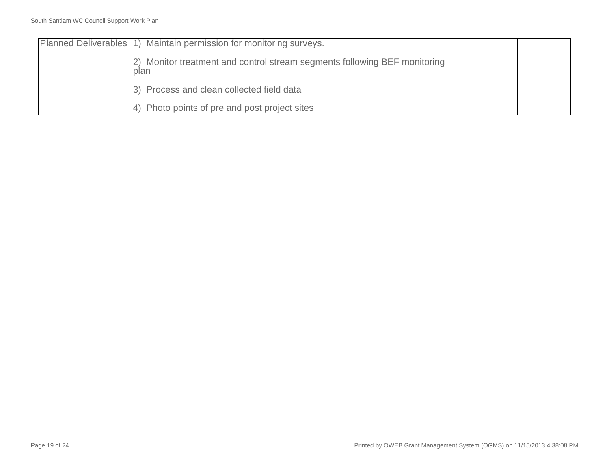| Planned Deliverables (1) Maintain permission for monitoring surveys.              |  |
|-----------------------------------------------------------------------------------|--|
| 2) Monitor treatment and control stream segments following BEF monitoring<br>plan |  |
| 3) Process and clean collected field data                                         |  |
| Photo points of pre and post project sites                                        |  |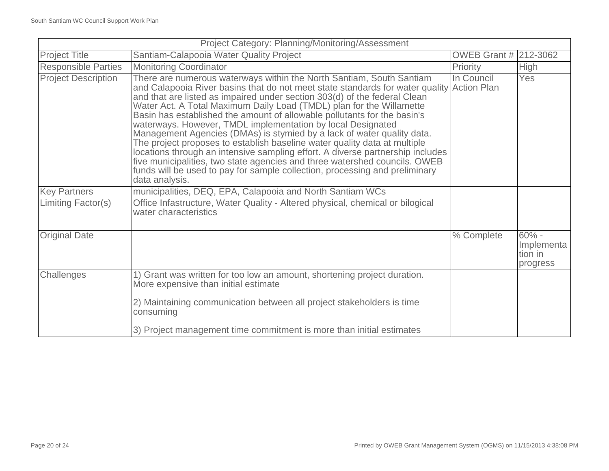| Project Category: Planning/Monitoring/Assessment |                                                                                                                                                                                                                                                                                                                                                                                                                                                                                                                                                                                                                                                                                                                                                                                                                                                                                           |                       |                                               |
|--------------------------------------------------|-------------------------------------------------------------------------------------------------------------------------------------------------------------------------------------------------------------------------------------------------------------------------------------------------------------------------------------------------------------------------------------------------------------------------------------------------------------------------------------------------------------------------------------------------------------------------------------------------------------------------------------------------------------------------------------------------------------------------------------------------------------------------------------------------------------------------------------------------------------------------------------------|-----------------------|-----------------------------------------------|
| <b>Project Title</b>                             | Santiam-Calapooia Water Quality Project                                                                                                                                                                                                                                                                                                                                                                                                                                                                                                                                                                                                                                                                                                                                                                                                                                                   | OWEB Grant # 212-3062 |                                               |
| <b>Responsible Parties</b>                       | <b>Monitoring Coordinator</b>                                                                                                                                                                                                                                                                                                                                                                                                                                                                                                                                                                                                                                                                                                                                                                                                                                                             | Priority              | High                                          |
| <b>Project Description</b>                       | There are numerous waterways within the North Santiam, South Santiam<br>and Calapooia River basins that do not meet state standards for water quality Action Plan<br>and that are listed as impaired under section 303(d) of the federal Clean<br>Water Act. A Total Maximum Daily Load (TMDL) plan for the Willamette<br>Basin has established the amount of allowable pollutants for the basin's<br>waterways. However, TMDL implementation by local Designated<br>Management Agencies (DMAs) is stymied by a lack of water quality data.<br>The project proposes to establish baseline water quality data at multiple<br>locations through an intensive sampling effort. A diverse partnership includes<br>five municipalities, two state agencies and three watershed councils. OWEB<br>funds will be used to pay for sample collection, processing and preliminary<br>data analysis. | In Council            | Yes                                           |
| <b>Key Partners</b>                              | municipalities, DEQ, EPA, Calapooia and North Santiam WCs                                                                                                                                                                                                                                                                                                                                                                                                                                                                                                                                                                                                                                                                                                                                                                                                                                 |                       |                                               |
| Limiting Factor(s)                               | Office Infastructure, Water Quality - Altered physical, chemical or bilogical<br>water characteristics                                                                                                                                                                                                                                                                                                                                                                                                                                                                                                                                                                                                                                                                                                                                                                                    |                       |                                               |
|                                                  |                                                                                                                                                                                                                                                                                                                                                                                                                                                                                                                                                                                                                                                                                                                                                                                                                                                                                           |                       |                                               |
| <b>Original Date</b>                             |                                                                                                                                                                                                                                                                                                                                                                                                                                                                                                                                                                                                                                                                                                                                                                                                                                                                                           | % Complete            | $60\%$ -<br>Implementa<br>tion in<br>progress |
| Challenges                                       | 1) Grant was written for too low an amount, shortening project duration.<br>More expensive than initial estimate                                                                                                                                                                                                                                                                                                                                                                                                                                                                                                                                                                                                                                                                                                                                                                          |                       |                                               |
|                                                  | 2) Maintaining communication between all project stakeholders is time<br>consuming                                                                                                                                                                                                                                                                                                                                                                                                                                                                                                                                                                                                                                                                                                                                                                                                        |                       |                                               |
|                                                  | 3) Project management time commitment is more than initial estimates                                                                                                                                                                                                                                                                                                                                                                                                                                                                                                                                                                                                                                                                                                                                                                                                                      |                       |                                               |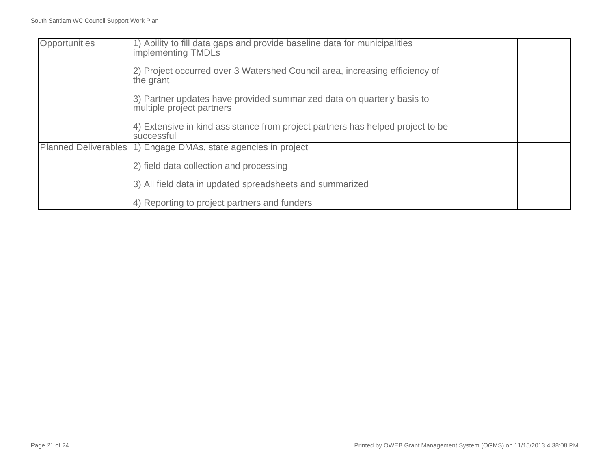| Opportunities               | 1) Ability to fill data gaps and provide baseline data for municipalities<br>implementing TMDLs     |  |
|-----------------------------|-----------------------------------------------------------------------------------------------------|--|
|                             | 2) Project occurred over 3 Watershed Council area, increasing efficiency of<br>the grant            |  |
|                             | 3) Partner updates have provided summarized data on quarterly basis to<br>multiple project partners |  |
|                             | 4) Extensive in kind assistance from project partners has helped project to be<br>successful        |  |
| <b>Planned Deliverables</b> | 1) Engage DMAs, state agencies in project                                                           |  |
|                             | 2) field data collection and processing                                                             |  |
|                             | 3) All field data in updated spreadsheets and summarized                                            |  |
|                             | 4) Reporting to project partners and funders                                                        |  |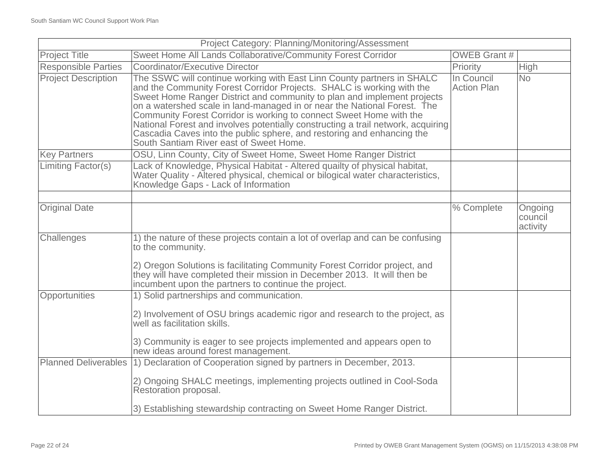| Project Category: Planning/Monitoring/Assessment |                                                                                                                                                                                                                                                                                                                                                                                                                                                                                                                                                                                        |                                  |                                |
|--------------------------------------------------|----------------------------------------------------------------------------------------------------------------------------------------------------------------------------------------------------------------------------------------------------------------------------------------------------------------------------------------------------------------------------------------------------------------------------------------------------------------------------------------------------------------------------------------------------------------------------------------|----------------------------------|--------------------------------|
| <b>Project Title</b>                             | Sweet Home All Lands Collaborative/Community Forest Corridor                                                                                                                                                                                                                                                                                                                                                                                                                                                                                                                           | <b>OWEB Grant #</b>              |                                |
| <b>Responsible Parties</b>                       | Coordinator/Executive Director                                                                                                                                                                                                                                                                                                                                                                                                                                                                                                                                                         | Priority                         | High                           |
| <b>Project Description</b>                       | The SSWC will continue working with East Linn County partners in SHALC<br>and the Community Forest Corridor Projects. SHALC is working with the<br>Sweet Home Ranger District and community to plan and implement projects<br>on a watershed scale in land-managed in or near the National Forest. The<br>Community Forest Corridor is working to connect Sweet Home with the<br>National Forest and involves potentially constructing a trail network, acquiring<br>Cascadia Caves into the public sphere, and restoring and enhancing the<br>South Santiam River east of Sweet Home. | In Council<br><b>Action Plan</b> | <b>No</b>                      |
| <b>Key Partners</b>                              | OSU, Linn County, City of Sweet Home, Sweet Home Ranger District                                                                                                                                                                                                                                                                                                                                                                                                                                                                                                                       |                                  |                                |
| <b>Limiting Factor(s)</b>                        | Lack of Knowledge, Physical Habitat - Altered quailty of physical habitat,<br>Water Quality - Altered physical, chemical or bilogical water characteristics,<br>Knowledge Gaps - Lack of Information                                                                                                                                                                                                                                                                                                                                                                                   |                                  |                                |
|                                                  |                                                                                                                                                                                                                                                                                                                                                                                                                                                                                                                                                                                        |                                  |                                |
| <b>Original Date</b>                             |                                                                                                                                                                                                                                                                                                                                                                                                                                                                                                                                                                                        | % Complete                       | Ongoing<br>council<br>activity |
| Challenges                                       | 1) the nature of these projects contain a lot of overlap and can be confusing<br>to the community.<br>2) Oregon Solutions is facilitating Community Forest Corridor project, and                                                                                                                                                                                                                                                                                                                                                                                                       |                                  |                                |
|                                                  | they will have completed their mission in December 2013. It will then be<br>incumbent upon the partners to continue the project.                                                                                                                                                                                                                                                                                                                                                                                                                                                       |                                  |                                |
| Opportunities                                    | 1) Solid partnerships and communication.                                                                                                                                                                                                                                                                                                                                                                                                                                                                                                                                               |                                  |                                |
|                                                  | 2) Involvement of OSU brings academic rigor and research to the project, as<br>well as facilitation skills.                                                                                                                                                                                                                                                                                                                                                                                                                                                                            |                                  |                                |
|                                                  | 3) Community is eager to see projects implemented and appears open to<br>new ideas around forest management.                                                                                                                                                                                                                                                                                                                                                                                                                                                                           |                                  |                                |
| <b>Planned Deliverables</b>                      | 1) Declaration of Cooperation signed by partners in December, 2013.                                                                                                                                                                                                                                                                                                                                                                                                                                                                                                                    |                                  |                                |
|                                                  | 2) Ongoing SHALC meetings, implementing projects outlined in Cool-Soda<br>Restoration proposal.                                                                                                                                                                                                                                                                                                                                                                                                                                                                                        |                                  |                                |
|                                                  | 3) Establishing stewardship contracting on Sweet Home Ranger District.                                                                                                                                                                                                                                                                                                                                                                                                                                                                                                                 |                                  |                                |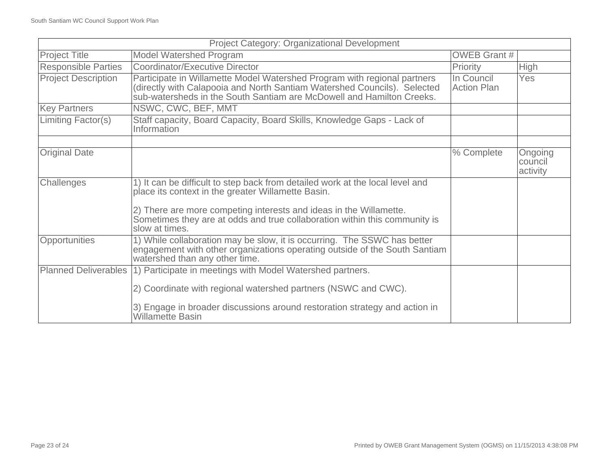| <b>Project Category: Organizational Development</b> |                                                                                                                                                                                                                                                                                                           |                           |                                |
|-----------------------------------------------------|-----------------------------------------------------------------------------------------------------------------------------------------------------------------------------------------------------------------------------------------------------------------------------------------------------------|---------------------------|--------------------------------|
| <b>Project Title</b>                                | <b>Model Watershed Program</b>                                                                                                                                                                                                                                                                            | <b>OWEB Grant #</b>       |                                |
| <b>Responsible Parties</b>                          | <b>Coordinator/Executive Director</b>                                                                                                                                                                                                                                                                     | Priority                  | <b>High</b>                    |
| <b>Project Description</b>                          | Participate in Willamette Model Watershed Program with regional partners<br>(directly with Calapooia and North Santiam Watershed Councils). Selected<br>sub-watersheds in the South Santiam are McDowell and Hamilton Creeks.                                                                             | In Council<br>Action Plan | Yes                            |
| <b>Key Partners</b>                                 | NSWC, CWC, BEF, MMT                                                                                                                                                                                                                                                                                       |                           |                                |
| Limiting Factor(s)                                  | Staff capacity, Board Capacity, Board Skills, Knowledge Gaps - Lack of<br>Information                                                                                                                                                                                                                     |                           |                                |
| <b>Original Date</b>                                |                                                                                                                                                                                                                                                                                                           | % Complete                | Ongoing<br>council<br>activity |
| Challenges                                          | 1) It can be difficult to step back from detailed work at the local level and<br>place its context in the greater Willamette Basin.<br>2) There are more competing interests and ideas in the Willamette.<br>Sometimes they are at odds and true collaboration within this community is<br>slow at times. |                           |                                |
| Opportunities                                       | 1) While collaboration may be slow, it is occurring. The SSWC has better<br>engagement with other organizations operating outside of the South Santiam<br>watershed than any other time.                                                                                                                  |                           |                                |
| <b>Planned Deliverables</b>                         | 1) Participate in meetings with Model Watershed partners.<br>2) Coordinate with regional watershed partners (NSWC and CWC).<br>3) Engage in broader discussions around restoration strategy and action in<br><b>Willamette Basin</b>                                                                      |                           |                                |